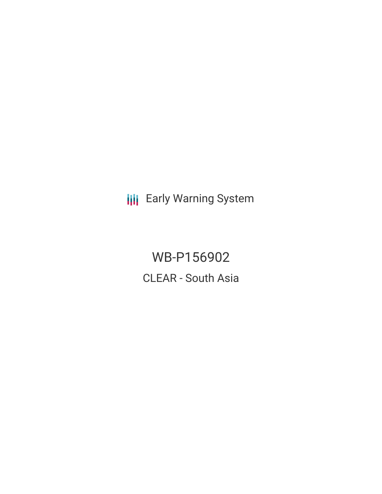**III** Early Warning System

WB-P156902 CLEAR - South Asia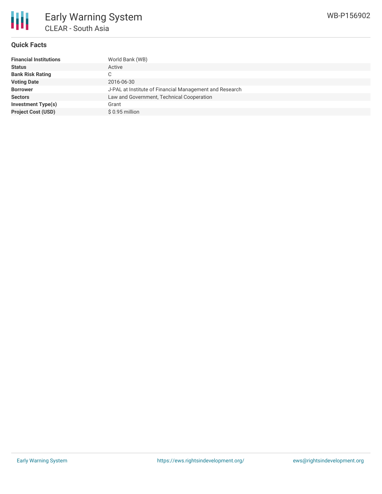# **Quick Facts**

| <b>Financial Institutions</b> | World Bank (WB)                                         |
|-------------------------------|---------------------------------------------------------|
| <b>Status</b>                 | Active                                                  |
| <b>Bank Risk Rating</b>       | С                                                       |
| <b>Voting Date</b>            | 2016-06-30                                              |
| <b>Borrower</b>               | J-PAL at Institute of Financial Management and Research |
| <b>Sectors</b>                | Law and Government, Technical Cooperation               |
| <b>Investment Type(s)</b>     | Grant                                                   |
| <b>Project Cost (USD)</b>     | \$0.95 million                                          |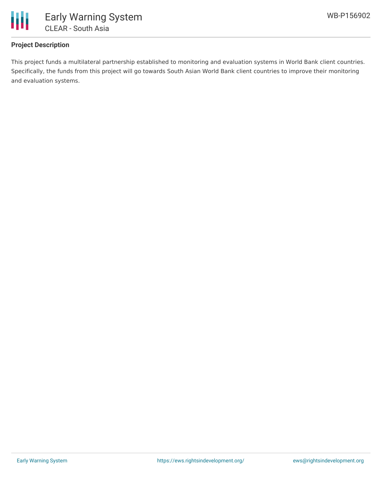

## **Project Description**

This project funds a multilateral partnership established to monitoring and evaluation systems in World Bank client countries. Specifically, the funds from this project will go towards South Asian World Bank client countries to improve their monitoring and evaluation systems.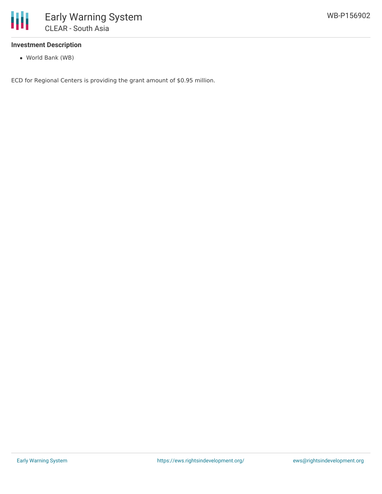

### **Investment Description**

World Bank (WB)

ECD for Regional Centers is providing the grant amount of \$0.95 million.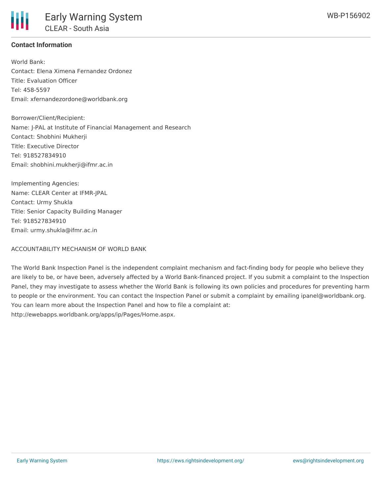### **Contact Information**

World Bank: Contact: Elena Ximena Fernandez Ordonez Title: Evaluation Officer Tel: 458-5597 Email: xfernandezordone@worldbank.org

Borrower/Client/Recipient: Name: J-PAL at Institute of Financial Management and Research Contact: Shobhini Mukherji Title: Executive Director Tel: 918527834910 Email: shobhini.mukherji@ifmr.ac.in

Implementing Agencies: Name: CLEAR Center at IFMR-JPAL Contact: Urmy Shukla Title: Senior Capacity Building Manager Tel: 918527834910 Email: urmy.shukla@ifmr.ac.in

#### ACCOUNTABILITY MECHANISM OF WORLD BANK

The World Bank Inspection Panel is the independent complaint mechanism and fact-finding body for people who believe they are likely to be, or have been, adversely affected by a World Bank-financed project. If you submit a complaint to the Inspection Panel, they may investigate to assess whether the World Bank is following its own policies and procedures for preventing harm to people or the environment. You can contact the Inspection Panel or submit a complaint by emailing ipanel@worldbank.org. You can learn more about the Inspection Panel and how to file a complaint at: http://ewebapps.worldbank.org/apps/ip/Pages/Home.aspx.